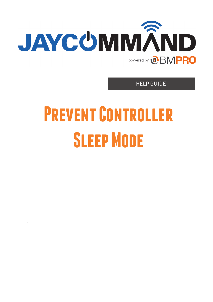

HELP GUIDE

# **Prevent Controller Sleep Mode**

: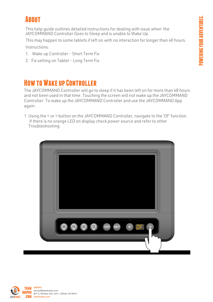## **ABOUT**

This help guide outlines detailed instructions for dealing with issue when the JAYCOMMAND Controller Goes to Sleep and is unable to Wake Up.

This may happen to some tablets if left on with no interaction for longer than 40 hours.

Instructions:

- 1. Wake up Controller Short Term Fix
- 2. Fix setting on Tablet Long Term Fix

## **How to Wake up Controller**

The JAYCOMMAND Controller will go to sleep if it has been left on for more than 48 hours and not been used in that time. Touching the screen will not wake up the JAYCOMMAND Controller. To wake up the JAYCOMMAND Controller and use the JAYCOMMAND App again:

1. Using the < or > button on the JAYCOMMAND Controller, navigate to the 'OF' function. If there is no orange LED on display check power source and refer to other Troubleshooting



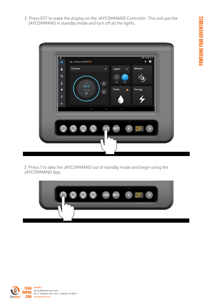2. Press EXT to wake the display on the JAYCOMMAND Controller. This will put the JAYCOMMAND in standby mode and turn off all the lights.



3. Press 1 to take the JAYCOMMAND out of standby mode and begin using the JAYCOMMAND App.



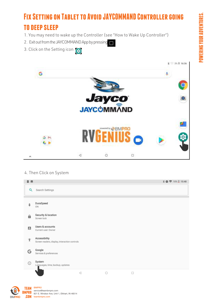# **Fix Setting on Tablet to Avoid JAYCOMMAND Controller going to deep sleep**

- 1. You may need to wake up the Controller (see "How to Wake Up Controller")
- 2. Exit out from the JAYCOMMAND App by pressing Δ
- 3. Click on the Setting icon



4. Then Click on System



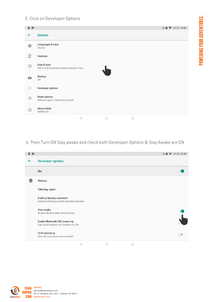## 5. Click on Developer Options

| 0 <sub>5</sub> |                                                           | <b>↓●▼</b> 10% 15:48 |
|----------------|-----------------------------------------------------------|----------------------|
| $\leftarrow$   | <b>System</b>                                             |                      |
| ⊕              | Languages & input<br>Gboard                               |                      |
| ₿              | Gestures                                                  |                      |
| $\odot$        | Date & time<br>GMT+10:00 Australian Eastern Standard Time |                      |
| ≏              | Backup<br>Off                                             |                      |
| $\{\;\}$       | Developer options                                         |                      |
| ⊕              | Reset options<br>Network, apps or device can be reset     |                      |
| $\odot$        | About tablet<br>BMPRO7DI                                  |                      |
|                | $\lhd$<br>$\circ$<br>$\Box$                               |                      |

POWERING YOUR ADVENTURES.

**POWERING YOUR ADVENTURES.** 

## 6. Then Turn ON Stay awake and check both Developer Options & Stay Awake are ON